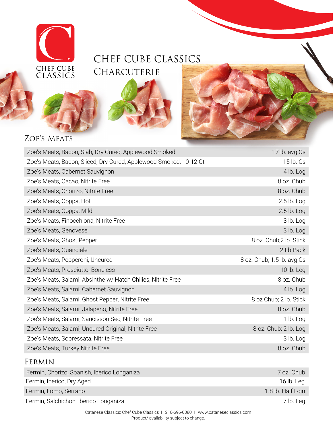

# CHEF CUBE CLASSICS **CHARCUTERIE**





### ZOE'S MEATS

| Zoe's Meats, Bacon, Slab, Dry Cured, Applewood Smoked             | 17 lb. avg Cs              |
|-------------------------------------------------------------------|----------------------------|
| Zoe's Meats, Bacon, Sliced, Dry Cured, Applewood Smoked, 10-12 Ct | 15 lb. Cs                  |
| Zoe's Meats, Cabernet Sauvignon                                   | 4 lb. Log                  |
| Zoe's Meats, Cacao, Nitrite Free                                  | 8 oz. Chub                 |
| Zoe's Meats, Chorizo, Nitrite Free                                | 8 oz. Chub                 |
| Zoe's Meats, Coppa, Hot                                           | $2.5$ lb. Log              |
| Zoe's Meats, Coppa, Mild                                          | 2.5 lb. Log                |
| Zoe's Meats, Finocchiona, Nitrite Free                            | 3 lb. Log                  |
| Zoe's Meats, Genovese                                             | 3 lb. Log                  |
| Zoe's Meats, Ghost Pepper                                         | 8 oz. Chub;2 lb. Stick     |
| Zoe's Meats, Guanciale                                            | 2 Lb Pack                  |
| Zoe's Meats, Pepperoni, Uncured                                   | 8 oz. Chub; 1.5 lb. avg Cs |
| Zoe's Meats, Prosciutto, Boneless                                 | 10 $lb.$ Leg               |
| Zoe's Meats, Salami, Absinthe w/ Hatch Chilies, Nitrite Free      | 8 oz. Chub                 |
| Zoe's Meats, Salami, Cabernet Sauvignon                           | 4 lb. Log                  |
| Zoe's Meats, Salami, Ghost Pepper, Nitrite Free                   | 8 oz Chub; 2 lb. Stick     |
| Zoe's Meats, Salami, Jalapeno, Nitrite Free                       | 8 oz. Chub                 |
| Zoe's Meats, Salami, Saucisson Sec, Nitrite Free                  | $1$ lb. Log                |
| Zoe's Meats, Salami, Uncured Original, Nitrite Free               | 8 oz. Chub; 2 lb. Log      |
| Zoe's Meats, Sopressata, Nitrite Free                             | 3 lb. Log                  |
| Zoe's Meats, Turkey Nitrite Free                                  | 8 oz. Chub                 |
|                                                                   |                            |

#### Fermin

| Fermin, Chorizo, Spanish, Iberico Longaniza | 7 oz. Chub        |
|---------------------------------------------|-------------------|
| Fermin, Iberico, Dry Aged                   | 16 lb. Leg        |
| Fermin, Lomo, Serrano                       | 1.8 lb. Half Loin |
| Fermin, Salchichon, Iberico Longaniza       | 7 lb. Leg         |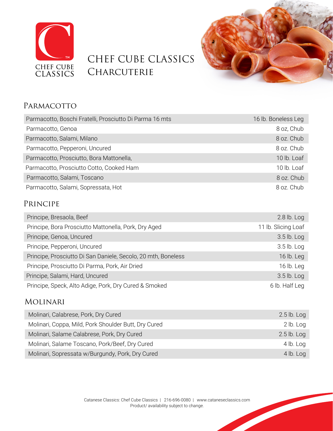

# CHEF CUBE CLASSICS **CHARCUTERIE**



### PARMACOTTO

| Parmacotto, Boschi Fratelli, Prosciutto Di Parma 16 mts | 16 lb. Boneless Leg |
|---------------------------------------------------------|---------------------|
| Parmacotto, Genoa                                       | 8 oz, Chub          |
| Parmacotto, Salami, Milano                              | 8 oz. Chub          |
| Parmacotto, Pepperoni, Uncured                          | 8 oz. Chub          |
| Parmacotto, Prosciutto, Bora Mattonella,                | 10 lb. Loaf         |
| Parmacotto, Prosciutto Cotto, Cooked Ham                | 10 lb. Loaf         |
| Parmacotto, Salami, Toscano                             | 8 oz. Chub          |
| Parmacotto, Salami, Sopressata, Hot                     | 8 oz. Chub          |

#### Principe

| Principe, Bresaola, Beef                                      | $2.8$ lb. Log       |
|---------------------------------------------------------------|---------------------|
| Principe, Bora Prosciutto Mattonella, Pork, Dry Aged          | 11 lb. Slicing Loaf |
| Principe, Genoa, Uncured                                      | 3.5 lb. Log         |
| Principe, Pepperoni, Uncured                                  | $3.5$ lb. Log       |
| Principe, Prosciutto Di San Daniele, Secolo, 20 mth, Boneless | 16 lb. Leg          |
| Principe, Prosciutto Di Parma, Pork, Air Dried                | 16 lb. Leg          |
| Principe, Salami, Hard, Uncured                               | $3.5$ lb. Log       |
| Principe, Speck, Alto Adige, Pork, Dry Cured & Smoked         | 6 lb. Half Leg      |

#### Molinari

| Molinari, Calabrese, Pork, Dry Cured                 | $2.5$ lb. Log |
|------------------------------------------------------|---------------|
| Molinari, Coppa, Mild, Pork Shoulder Butt, Dry Cured | 2 lb. Log     |
| Molinari, Salame Calabrese, Pork, Dry Cured          | $2.5$ lb. Log |
| Molinari, Salame Toscano, Pork/Beef, Dry Cured       | $4$ lb. Log   |
| Molinari, Sopressata w/Burgundy, Pork, Dry Cured     | $4$ lb. Log   |